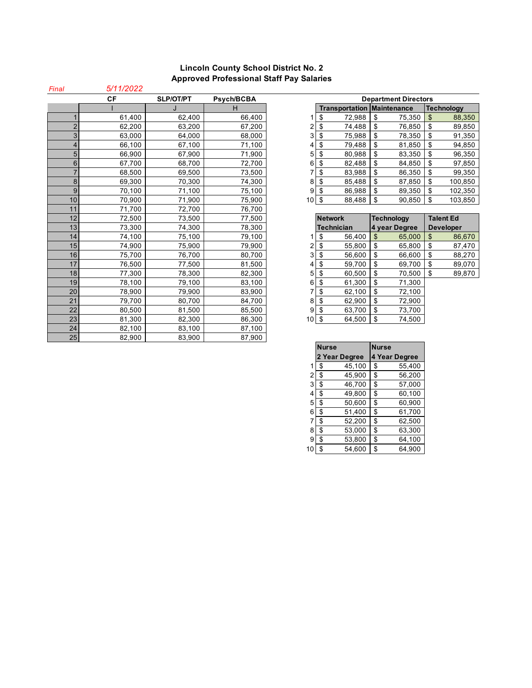## **Lincoln County School District No. 2 Approved Professional Staff Pay Salaries**

| Final          | 5/11/2022 |                  |            |    |                                   |                             |                          |
|----------------|-----------|------------------|------------|----|-----------------------------------|-----------------------------|--------------------------|
|                | <b>CF</b> | <b>SLP/OT/PT</b> | Psych/BCBA |    |                                   | <b>Department Directors</b> |                          |
|                |           |                  | н          |    | <b>Transportation Maintenance</b> |                             | <b>Technology</b>        |
|                | 61,400    | 62,400           | 66,400     |    | \$<br>72,988                      | \$<br>75,350                | $\mathfrak{S}$<br>88,350 |
| $\overline{2}$ | 62,200    | 63,200           | 67,200     | 2  | \$<br>74,488                      | \$<br>76.850                | \$<br>89,850             |
| 3              | 63,000    | 64,000           | 68,000     | 3  | \$<br>75,988                      | \$<br>78,350                | \$<br>91,350             |
| 4              | 66.100    | 67.100           | 71,100     |    | \$<br>79,488                      | \$<br>81,850                | \$<br>94,850             |
| 5              | 66,900    | 67,900           | 71,900     | 5  | \$<br>80,988                      | \$<br>83,350                | \$<br>96,350             |
| 6              | 67,700    | 68,700           | 72,700     | 6  | \$<br>82,488                      | \$<br>84,850                | \$<br>97,850             |
| 7              | 68,500    | 69.500           | 73,500     |    | \$<br>83,988                      | \$<br>86,350                | \$<br>99,350             |
| 8              | 69,300    | 70,300           | 74,300     | 8  | \$<br>85,488                      | \$<br>87,850                | \$<br>100,850            |
| 9              | 70,100    | 71,100           | 75,100     | 9  | \$<br>86,988                      | \$<br>89,350                | \$<br>102,350            |
| 10             | 70,900    | 71,900           | 75,900     | 10 | \$<br>88,488                      | <sup>\$</sup><br>90,850     | \$<br>103,850            |
| 11             | 71,700    | 72,700           | 76,700     |    |                                   |                             |                          |
| 12             | 72,500    | 73,500           | 77,500     |    | <b>Network</b>                    | <b>Technology</b>           | <b>Talent Ed</b>         |
| 13             | 73,300    | 74,300           | 78,300     |    | Technician                        | 4 year Degree               | <b>Developer</b>         |
| 14             | 74,100    | 75,100           | 79,100     |    | \$<br>56.400                      | \$<br>65,000                | \$<br>86,670             |
| 15             | 74,900    | 75,900           | 79,900     |    | \$<br>55.800                      | \$<br>65,800                | \$<br>87,470             |
| 16             | 75,700    | 76.700           | 80.700     | 3  | \$<br>56,600                      | \$<br>66,600                | \$<br>88,270             |
| 17             | 76,500    | 77,500           | 81,500     |    | \$<br>59,700                      | \$<br>69,700                | \$<br>89,070             |
| 18             | 77,300    | 78,300           | 82,300     | 5  | \$<br>60,500                      | \$<br>70,500                | \$<br>89,870             |
| 19             | 78,100    | 79,100           | 83,100     | 6  | \$<br>61,300                      | \$<br>71,300                |                          |
| 20             | 78,900    | 79,900           | 83,900     |    | \$<br>62,100                      | \$<br>72,100                |                          |
| 21             | 79,700    | 80.700           | 84.700     | 8  | \$<br>62.900                      | \$<br>72,900                |                          |
| 22             | 80,500    | 81,500           | 85,500     | 9  | \$<br>63,700                      | \$<br>73,700                |                          |
| 23             | 81,300    | 82,300           | 86,300     | 10 | \$<br>64,500                      | \$<br>74,500                |                          |
| 24             | 82,100    | 83,100           | 87,100     |    |                                   |                             |                          |
| 25             | 82,900    | 83.900           | 87,900     |    |                                   |                             |                          |

| ïΕ     | <b>SLP/OT/PT</b> | Psych/BCBA |                 | <b>Department Directors</b>       |              |                   |  |
|--------|------------------|------------|-----------------|-----------------------------------|--------------|-------------------|--|
|        |                  | н          |                 | <b>Transportation Maintenance</b> |              | <b>Technology</b> |  |
| 61,400 | 62,400           | 66.400     |                 | 72,988<br>S                       | 75.350<br>\$ | 88,350<br>\$      |  |
| 62,200 | 63,200           | 67,200     | ⌒               | 74,488<br>\$                      | 76,850<br>\$ | 89,850<br>\$      |  |
| 63,000 | 64.000           | 68,000     | 3               | 75,988<br>\$                      | 78.350<br>\$ | 91,350<br>\$      |  |
| 66,100 | 67,100           | 71,100     | 41              | 79,488<br>\$                      | 81,850<br>\$ | 94,850<br>\$      |  |
| 66,900 | 67,900           | 71.900     | 5               | \$<br>80,988                      | \$<br>83,350 | 96,350<br>\$      |  |
| 67,700 | 68,700           | 72,700     | 6               | \$<br>82,488                      | \$<br>84,850 | 97,850<br>\$      |  |
| 68,500 | 69,500           | 73,500     |                 | 83,988<br>S                       | \$<br>86,350 | 99,350<br>\$      |  |
| 69,300 | 70,300           | 74.300     | 8               | \$<br>85,488                      | \$<br>87,850 | 100,850<br>S      |  |
| 70,100 | 71,100           | 75,100     | 9               | 86,988<br>\$                      | \$<br>89,350 | 102,350<br>\$     |  |
| 70,900 | 71,900           | 75.900     | 10 <sup>1</sup> | 88,488<br>\$                      | \$<br>90,850 | 103,850<br>S      |  |

|   | <b>Network</b>    |        |    | <b>Technology</b> | <b>Talent Ed</b> |        |  |
|---|-------------------|--------|----|-------------------|------------------|--------|--|
|   | <b>Technician</b> |        |    | 4 year Degree     | <b>Developer</b> |        |  |
| 1 | S                 | 56,400 | S  | 65,000            | \$               | 86,670 |  |
| 2 | \$                | 55,800 | \$ | 65,800            | \$               | 87,470 |  |
| 3 | \$                | 56,600 | \$ | 66,600            | \$               | 88,270 |  |
| 4 | \$                | 59,700 | \$ | 69,700            | \$               | 89,070 |  |
| 5 | \$                | 60,500 | \$ | 70,500            | \$               | 89,870 |  |
| 6 | \$                | 61,300 | \$ | 71,300            |                  |        |  |
| 7 | \$                | 62,100 | \$ | 72,100            |                  |        |  |
| 8 | \$                | 62,900 | \$ | 72,900            |                  |        |  |
| 9 | \$                | 63,700 | \$ | 73,700            |                  |        |  |
| 0 | \$                | 64,500 | \$ | 74,500            |                  |        |  |

|                | Nurse         | <b>Nurse</b>  |
|----------------|---------------|---------------|
|                | 2 Year Degree | 4 Year Degree |
| 1              | \$<br>45,100  | \$<br>55,400  |
| 2              | \$<br>45,900  | \$<br>56,200  |
| 3              | \$<br>46,700  | \$<br>57,000  |
| 4              | \$<br>49,800  | \$<br>60,100  |
| 5              | \$<br>50,600  | \$<br>60,900  |
| 6              | \$<br>51,400  | \$<br>61,700  |
| $\overline{7}$ | \$<br>52,200  | \$<br>62,500  |
| 8              | \$<br>53,000  | \$<br>63,300  |
| 9              | \$<br>53,800  | \$<br>64,100  |
| 10             | \$<br>54,600  | \$<br>64,900  |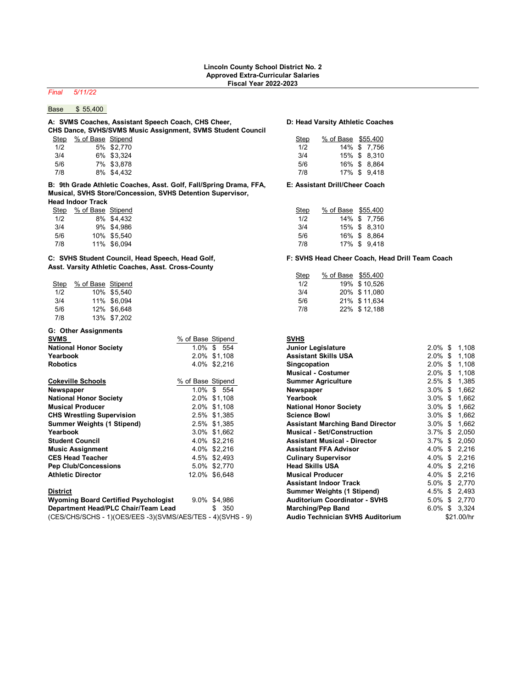## *Final 5/11/22*

## Base \$ 55,400

### **A: SVMS Coaches, Assistant Speech Coach, CHS Cheer, D: Head Varsity Athletic Coaches CHS Dance, SVHS/SVMS Music Assignment, SVMS Student Council** Step % of Base Stipend Step % of Base Stipend

| <u>ucu</u> | $\frac{70 \text{ U} \text{ D} \text{a} \text{b} \text{c}}{20 \text{ U}}$ |               |
|------------|--------------------------------------------------------------------------|---------------|
| 1/2        |                                                                          | 5% \$2,770    |
| 3/4        |                                                                          | 6% \$3.324    |
| 5/6        |                                                                          | 7% \$3.878    |
| 7/8        |                                                                          | $9\%$ $64432$ |

**B: 9th Grade Athletic Coaches, Asst. Golf, Fall/Spring Drama, FFA, E: Assistant Drill/Cheer Coach Musical, SVHS Store/Concession, SVHS Detention Supervisor, Head Indoor Track**

| Step | % of Base Stipend |             |
|------|-------------------|-------------|
| 1/2  |                   | 8% \$4.432  |
| 3/4  |                   | 9% \$4.986  |
| 5/6  |                   | 10% \$5.540 |
| 7/8  |                   | 11% \$6,094 |

### **C: SVHS Student Council, Head Speech, Head Golf, F: SVHS Head Cheer Coach, Head Drill Team Coach Asst. Varsity Athletic Coaches, Asst. Cross-County**

| Step | % of Base Stipend |             |
|------|-------------------|-------------|
| 1/2  |                   | 10% \$5.540 |
| 3/4  |                   | 11% \$6.094 |
| 5/6  |                   | 12% \$6.648 |
| 7/8  |                   | 13% \$7,202 |

### **G: Other Assignments**  $%$  of Base Stipend **National Honor Society** 1.0% \$ 554<br> **Yearbook** 2.0% \$ 1.108 **Yearbook** 2.0% \$1,108 **Assistant Skills USA** 2.0% \$ 1,108 **Robotics** 4.0% \$2,216 **Singcopation** 2.0% \$ 1,108 **Cokeville Schools 8.5355 & 1,385 \$ 1,395 & 1,395 \$ 1,395 \$ 1,395 \$ 1,395 \$ 1,395 \$ 1,395 \$ 1,395 \$ 1,395 \$ 1,395 \$ 1,395 \$ 1,395 \$ 1,395 \$ 1,395 \$ 1,395 \$ 1,395 \$ 1,395 \$ 1,395 \$ 1,395 \$ 1,395 \$ 1,395 \$ 1,395 \$ 1,395 \$ Newspaper** 1.0% \$ 554 **Newspaper** 3.0% \$ 1,662 **National Honor Society** 2.0% \$1,108 **Yearbook** 3.0% \$ 1,662 **Musical Producer** 2.0% \$1,108<br>**CHS Wrestling Supervision** 2.5% \$1,385 **CHS Wrestling Supervision Summer Weights (1 Stipend)** 2.5% \$1,385 **Assistant Marching Band Director** 3.0% \$ 1,662 **Yearbook** 3.0% \$1,662 **Musical - Set/Construction** 3.7% \$ 2,050 **Student Council** 4.0% \$2,216 **Assistant Musical - Director** 3.7% \$ 2,050 **Music Assignment** 4.0% \$2,216<br> **CES Head Teacher** 4.5% \$2,493 **CES Head Teacher Pep Club/Concessions** 5.0% \$2,770 **Athletic Director** 12.0% \$ 6,648 **District Summer Weights (1 Stipend)** 4.5% \$ 2,493 **Wyoming Board Certified Psychologist** 9.0% \$4,986 **Department Head/PLC Chair/Team Lead 6.0 \$ 350.**

| (CES/CHS/SCHS - 1)(OES/EES -3)(SVMS/AES/TES - 4)(SVHS - 9) | <b>Audio Technician SVHS Auditorium</b> | \$21.00/hr |
|------------------------------------------------------------|-----------------------------------------|------------|

|     | Step % of Base Stipend |            | Step | % of Base \$55,400 |              |
|-----|------------------------|------------|------|--------------------|--------------|
| 1/2 |                        | 5% \$2.770 | 1/2  |                    | 14% \$ 7.756 |
| 3/4 |                        | 6% \$3.324 | 3/4  |                    | 15% \$ 8.310 |
| 5/6 |                        | 7% \$3.878 | 5/6  |                    | 16% \$ 8.864 |
| 7/8 |                        | 8% \$4.432 | 7/8  |                    | 17% \$ 9.418 |

|  | Step                                                                        |  |                                                                                   |
|--|-----------------------------------------------------------------------------|--|-----------------------------------------------------------------------------------|
|  | 1/2                                                                         |  |                                                                                   |
|  | 3/4                                                                         |  |                                                                                   |
|  | 5/6                                                                         |  |                                                                                   |
|  | 7/8                                                                         |  |                                                                                   |
|  | % of Base Stipend<br>8% \$4.432<br>9% \$4.986<br>10% \$5.540<br>11% \$6.094 |  | % of Base \$55,400<br>14% \$7,756<br>15% \$ 8.310<br>16% \$ 8.864<br>17% \$ 9,418 |

| sst. varsity Atmetic Ocaches, Asst. Oross-Ocanty |  |                                                                |                    |  |  |  |  |  |
|--------------------------------------------------|--|----------------------------------------------------------------|--------------------|--|--|--|--|--|
|                                                  |  | Step                                                           | % of Base \$55,400 |  |  |  |  |  |
|                                                  |  | 1/2                                                            | 19% \$10.526       |  |  |  |  |  |
|                                                  |  | 3/4                                                            | 20% \$11.080       |  |  |  |  |  |
|                                                  |  | 5/6                                                            | 21% \$11.634       |  |  |  |  |  |
|                                                  |  | 7/8                                                            | 22% \$12.188       |  |  |  |  |  |
|                                                  |  | % of Base Stipend<br>10% \$5.540<br>11% \$6.094<br>12% \$6.648 |                    |  |  |  |  |  |

| <b>SVHS</b>                             |         |             |
|-----------------------------------------|---------|-------------|
| <b>Junior Legislature</b>               | 2.0%    | \$<br>1,108 |
| <b>Assistant Skills USA</b>             | $2.0\%$ | \$<br>1,108 |
| <b>Singcopation</b>                     | 2.0%    | \$<br>1,108 |
| <b>Musical - Costumer</b>               | 2.0%    | \$<br>1,108 |
| <b>Summer Agriculture</b>               | 2.5%    | \$<br>1,385 |
| Newspaper                               | $3.0\%$ | \$<br>1,662 |
| Yearbook                                | $3.0\%$ | \$<br>1,662 |
| <b>National Honor Society</b>           | 3.0%    | \$<br>1,662 |
| <b>Science Bowl</b>                     | 3.0%    | \$<br>1,662 |
| <b>Assistant Marching Band Director</b> | $3.0\%$ | \$<br>1,662 |
| <b>Musical - Set/Construction</b>       | 3.7%    | \$<br>2,050 |
| <b>Assistant Musical - Director</b>     | 3.7%    | \$<br>2,050 |
| <b>Assistant FFA Advisor</b>            | 4.0%    | \$<br>2,216 |
| <b>Culinary Supervisor</b>              | 4.0%    | \$<br>2,216 |
| <b>Head Skills USA</b>                  | 4.0%    | \$<br>2,216 |
| <b>Musical Producer</b>                 | 4.0%    | \$<br>2,216 |
| <b>Assistant Indoor Track</b>           | 5.0%    | \$<br>2,770 |
| Summer Weights (1 Stipend)              | 4.5%    | \$<br>2,493 |
| <b>Auditorium Coordinator - SVHS</b>    | 5.0%    | \$<br>2,770 |
| <b>Marching/Pep Band</b>                | $6.0\%$ | \$<br>3,324 |
| <b>Audio Technician SVHS Auditorium</b> |         | \$21.00/hr  |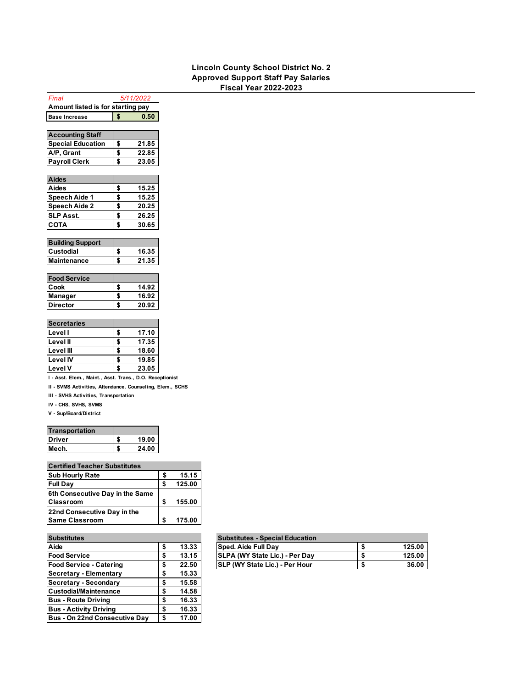### **Lincoln County School District No. 2 Approved Support Staff Pay Salaries Fiscal Year 2022-2023**

| Amount listed is for starting pay                         |    |       |  |  |  |
|-----------------------------------------------------------|----|-------|--|--|--|
| <b>Base Increase</b>                                      | \$ | 0.50  |  |  |  |
|                                                           |    |       |  |  |  |
| <b>Accounting Staff</b>                                   |    |       |  |  |  |
| <b>Special Education</b>                                  | \$ | 21.85 |  |  |  |
| A/P, Grant                                                | \$ | 22.85 |  |  |  |
| <b>Payroll Clerk</b>                                      | \$ | 23.05 |  |  |  |
|                                                           |    |       |  |  |  |
| <b>Aides</b>                                              |    |       |  |  |  |
| Aides                                                     | \$ | 15.25 |  |  |  |
| Speech Aide 1                                             | \$ | 15.25 |  |  |  |
| <b>Speech Aide 2</b>                                      | \$ | 20.25 |  |  |  |
| <b>SLP Asst.</b>                                          | \$ | 26.25 |  |  |  |
| <b>COTA</b>                                               | \$ | 30.65 |  |  |  |
|                                                           |    |       |  |  |  |
| <b>Building Support</b>                                   |    |       |  |  |  |
| Custodial                                                 | \$ | 16.35 |  |  |  |
| <b>Maintenance</b>                                        | \$ | 21.35 |  |  |  |
|                                                           |    |       |  |  |  |
| <b>Food Service</b>                                       |    |       |  |  |  |
| Cook                                                      | \$ | 14.92 |  |  |  |
| Manager                                                   | \$ | 16.92 |  |  |  |
| <b>Director</b>                                           | \$ | 20.92 |  |  |  |
|                                                           |    |       |  |  |  |
| <b>Secretaries</b>                                        |    |       |  |  |  |
| Level I                                                   | \$ | 17.10 |  |  |  |
| Level II                                                  | \$ | 17.35 |  |  |  |
| Level III                                                 | \$ | 18.60 |  |  |  |
| <b>Level IV</b>                                           | \$ | 19.85 |  |  |  |
| <b>Level V</b>                                            | \$ | 23.05 |  |  |  |
| I - Asst. Elem., Maint., Asst. Trans., D.O. Receptionist  |    |       |  |  |  |
| II - SVMS Activities, Attendance, Counseling, Elem., SCHS |    |       |  |  |  |

*Final 5/11/2022*

**III - SVHS Activities, Transportation**

**IV - CHS, SVHS, SVMS**

**V - Sup/Board/District**

| <b>Transportation</b> |       |
|-----------------------|-------|
| Driver                | 19.00 |
| Mech.                 | 24.00 |

| <b>Certified Teacher Substitutes</b> |    |        |  |  |  |
|--------------------------------------|----|--------|--|--|--|
| <b>Sub Hourly Rate</b>               | S  | 15.15  |  |  |  |
| <b>Full Day</b>                      | S  | 125.00 |  |  |  |
| 6th Consecutive Day in the Same      |    |        |  |  |  |
| <b>Classroom</b>                     | S  | 155.00 |  |  |  |
| 22nd Consecutive Day in the          |    |        |  |  |  |
| <b>Same Classroom</b>                | \$ | 175.00 |  |  |  |

| <b>Substitutes</b>                   |    |       | <b>Substitutes - Special Education</b> |
|--------------------------------------|----|-------|----------------------------------------|
| Aide                                 | \$ | 13.33 | Sped. Aide Full Day                    |
| <b>Food Service</b>                  | S  | 13.15 | SLPA (WY State Lic.) - Per Day         |
| <b>Food Service - Catering</b>       | \$ | 22.50 | SLP (WY State Lic.) - Per Hour         |
| <b>Secretary - Elementary</b>        | \$ | 15.33 |                                        |
| Secretary - Secondary                | \$ | 15.58 |                                        |
| <b>Custodial/Maintenance</b>         | S  | 14.58 |                                        |
| <b>Bus - Route Driving</b>           | \$ | 16.33 |                                        |
| <b>Bus - Activity Driving</b>        | \$ | 16.33 |                                        |
| <b>Bus - On 22nd Consecutive Day</b> | \$ | 17.00 |                                        |

|             | <b>Substitutes - Special Education</b> |        |
|-------------|----------------------------------------|--------|
| \$<br>13.33 | <b>Sped. Aide Full Dav</b>             | 125.00 |
| \$<br>13.15 | SLPA (WY State Lic.) - Per Day         | 125.00 |
| \$<br>22.50 | <b>ISLP (WY State Lic.) - Per Hour</b> | 36.00  |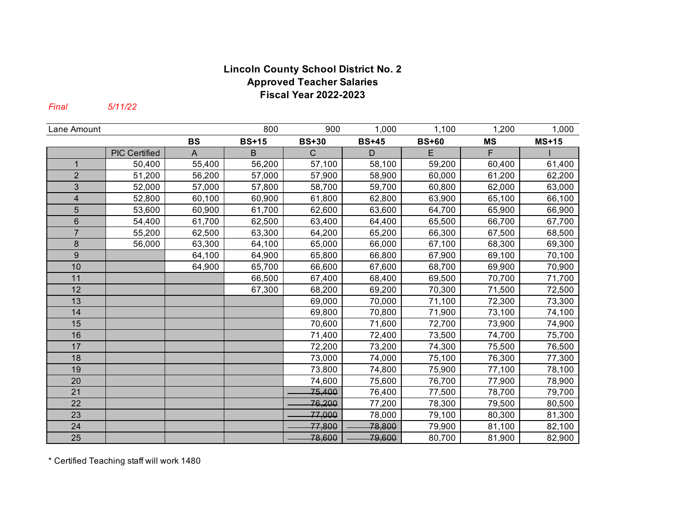# **Lincoln County School District No. 2 Approved Teacher Salaries Fiscal Year 2022-2023**

*Final 5/11/22*

| Lane Amount             |                      |           | 800          | 900          | 1,000        | 1,100        | 1,200     | 1,000        |
|-------------------------|----------------------|-----------|--------------|--------------|--------------|--------------|-----------|--------------|
|                         |                      | <b>BS</b> | <b>BS+15</b> | <b>BS+30</b> | <b>BS+45</b> | <b>BS+60</b> | <b>MS</b> | <b>MS+15</b> |
|                         | <b>PIC Certified</b> | A         | B            | $\mathsf{C}$ | D            | E            | F         |              |
| 1                       | 50,400               | 55,400    | 56,200       | 57,100       | 58,100       | 59,200       | 60,400    | 61,400       |
| $\overline{2}$          | 51,200               | 56,200    | 57,000       | 57,900       | 58,900       | 60,000       | 61,200    | 62,200       |
| 3                       | 52,000               | 57,000    | 57,800       | 58,700       | 59,700       | 60,800       | 62,000    | 63,000       |
| $\overline{\mathbf{4}}$ | 52,800               | 60,100    | 60,900       | 61,800       | 62,800       | 63,900       | 65,100    | 66,100       |
| 5                       | 53,600               | 60,900    | 61,700       | 62,600       | 63,600       | 64,700       | 65,900    | 66,900       |
| $\,6$                   | 54,400               | 61,700    | 62,500       | 63,400       | 64,400       | 65,500       | 66,700    | 67,700       |
| $\overline{7}$          | 55,200               | 62,500    | 63,300       | 64,200       | 65,200       | 66,300       | 67,500    | 68,500       |
| 8                       | 56,000               | 63,300    | 64,100       | 65,000       | 66,000       | 67,100       | 68,300    | 69,300       |
| 9                       |                      | 64,100    | 64,900       | 65,800       | 66,800       | 67,900       | 69,100    | 70,100       |
| 10                      |                      | 64,900    | 65,700       | 66,600       | 67,600       | 68,700       | 69,900    | 70,900       |
| 11                      |                      |           | 66,500       | 67,400       | 68,400       | 69,500       | 70,700    | 71,700       |
| 12                      |                      |           | 67,300       | 68,200       | 69,200       | 70,300       | 71,500    | 72,500       |
| 13                      |                      |           |              | 69,000       | 70,000       | 71,100       | 72,300    | 73,300       |
| 14                      |                      |           |              | 69,800       | 70,800       | 71,900       | 73,100    | 74,100       |
| 15                      |                      |           |              | 70,600       | 71,600       | 72,700       | 73,900    | 74,900       |
| 16                      |                      |           |              | 71,400       | 72,400       | 73,500       | 74,700    | 75,700       |
| 17                      |                      |           |              | 72,200       | 73,200       | 74,300       | 75,500    | 76,500       |
| 18                      |                      |           |              | 73,000       | 74,000       | 75,100       | 76,300    | 77,300       |
| 19                      |                      |           |              | 73,800       | 74,800       | 75,900       | 77,100    | 78,100       |
| 20                      |                      |           |              | 74,600       | 75,600       | 76,700       | 77,900    | 78,900       |
| 21                      |                      |           |              | 75,400       | 76,400       | 77,500       | 78,700    | 79,700       |
| 22                      |                      |           |              | 76,200       | 77,200       | 78,300       | 79,500    | 80,500       |
| 23                      |                      |           |              | 77,000       | 78,000       | 79,100       | 80,300    | 81,300       |
| 24                      |                      |           |              | 77,800       | 78,800       | 79,900       | 81,100    | 82,100       |
| 25                      |                      |           |              | 78,600       | 79,600       | 80,700       | 81,900    | 82,900       |

\* Certified Teaching staff will work 1480